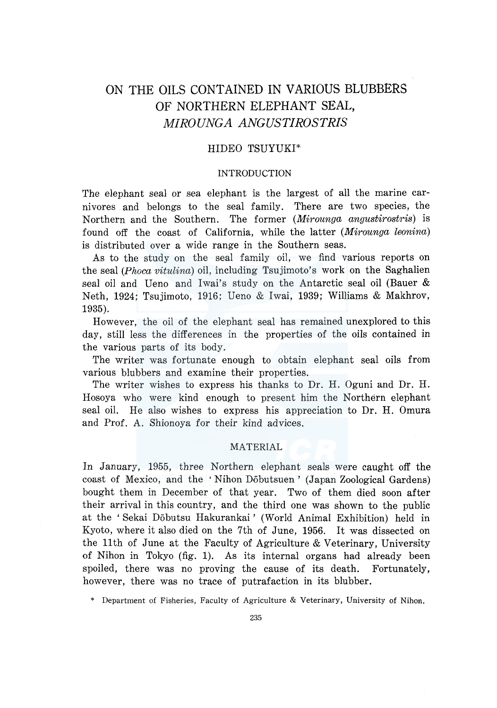# ON THE OILS CONTAINED IN VARIOUS BLUBBERS OF NORTHERN ELEPHANT SEAL, *MIROUNGA ANGUSTIROSTRIS*

## HIDEO TSUYUKI\*

## INTRODUCTION

The elephant seal or sea elephant is the largest of all the marine carnivores and belongs to the seal family. There are two species, the Northern and the Southern. The former *(Mirounga angustirostris)* is found off the coast of California, while the latter *(Mirounga leonina)*  is distributed over a wide range in the Southern seas.

As to the study on the seal family oil, we find various reports on the seal *(Phoca vitulina)* oil, including Tsujimoto's work on the Saghalien seal oil and Ueno and Iwai's study on the Antarctic seal oil (Bauer & Neth, 1924; Tsujimoto, 1916; Ueno & Iwai, 1939; Williams & Makhrov, 1935).

However, the oil of the elephant seal has remained unexplored to this day, still less the differences in the properties of the oils contained in the various parts of its body.

The writer was fortunate enough to obtain elephant seal oils from various blubbers and examine their properties.

The writer wishes to express his thanks to Dr. H. Oguni and Dr. H. Hosoya who were kind enough to present him the Northern elephant seal oil. He also wishes to express his appreciation to Dr. H. Omura and Prof. A. Shionoya for their kind advices.

## MATERIAL

In January, 1955, three Northern elephant seals were caught off the coast of Mexico, and the 'Nihon Dobutsuen' (Japan Zoological Gardens) bought them in December of that year. Two of them died soon after their arrival in this country, and the third one was shown to the public at the ' Sekai Dobutsu Hakurankai ' (World Animal Exhibition) held in Kyoto, where it also died on the 7th of June, 1956. It was dissected on the llth of June at the Faculty of Agriculture & Veterinary, University of Nihon in Tokyo (fig. 1). As its internal organs had already been spoiled, there was no proving the cause of its death. Fortunately, however, there was no trace of putrafaction in its blubber.

\* Department of Fisheries, Faculty of Agriculture & Veterinary, University of Nihon.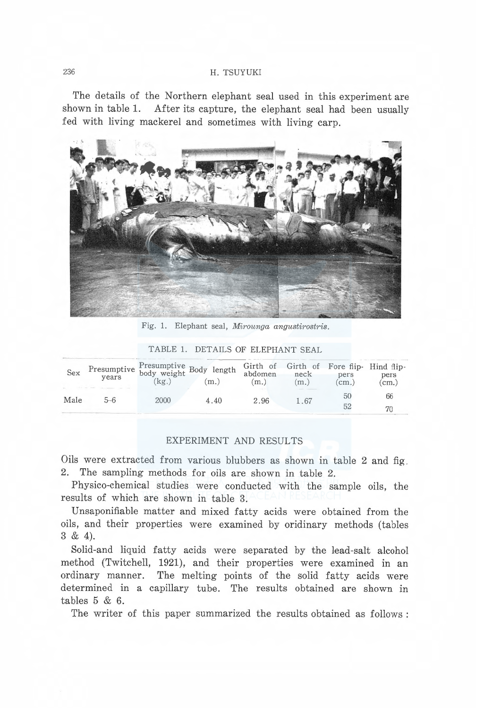## 236 H. TSUYUKI

The details of the Northern elephant seal used in this experiment are shown in table 1. After its capture, the elephant seal had been usually fed with living mackerel and sometimes with living carp.



Fig. 1. Elephant seal, Mirounga angustirostris.

| Sex  | vears | Presumptive Presumptive Body length<br>kg. | m.   | abdomen<br>(m.) | Girth of Girth of Fore flip- Hind flip-<br>neck<br>(m.) | pers<br>$cm.$ ) | pers<br>$\rm\ (cm.)$ |
|------|-------|--------------------------------------------|------|-----------------|---------------------------------------------------------|-----------------|----------------------|
| Male | 5–6   | 2000                                       | 4.40 | 2.96            | 1.67                                                    | 50              | 66                   |
|      |       |                                            |      |                 |                                                         | 52              |                      |

TABLE 1. DETAILS OF ELEPHANT SEAL

## EXPERIMENT AND RESULTS

Oils were extracted from various blubbers as shown in table 2 and fig 2. The sampling methods for oils are shown in table 2.

Physico-chemical studies were conducted with the sample oils, the results of which are shown in table 3.

Unsaponifiable matter and mixed fatty acids were obtained from the oils, and their properties were examined by oridinary methods (tables 3 & 4).

Solid-and liquid fatty acids were separated by the lead-salt alcohol method (Twitchell, 1921), and their properties were examined in an ordinary manner. The melting points of the solid fatty acids were determined in a capillary tube. The results obtained are shown in tables 5 & 6.

The writer of this paper summarized the results obtained as follows :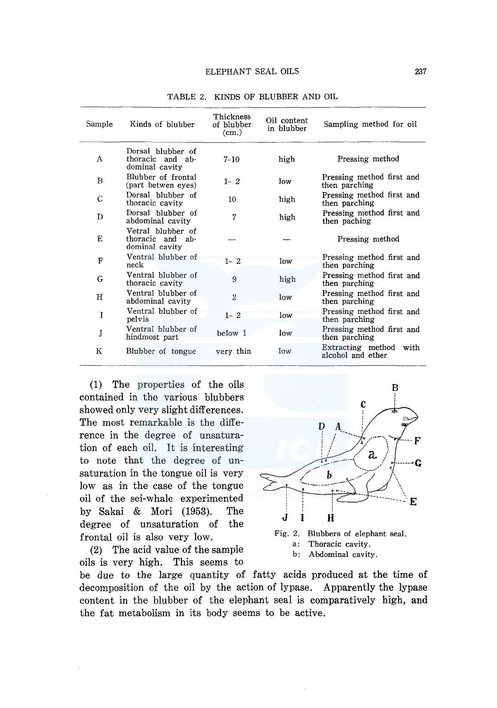| Sample       | Kinds of blubber                                           | Thickness<br>of blubber<br>(cm.) | Oil content<br>in blubber | Sampling method for oil                     |
|--------------|------------------------------------------------------------|----------------------------------|---------------------------|---------------------------------------------|
| А            | Dorsal blubber of<br>thoracic and ab-<br>dominal cavity    | $7 - 10$                         | high                      | Pressing method                             |
| B            | Blubber of frontal<br>(part betwen eyes)                   | $1 - 2$                          | low                       | Pressing method first and<br>then parching  |
| $\mathsf{C}$ | Dorsal blubber of<br>thoracic cavity                       | 10                               | high                      | Pressing method first and<br>then parching  |
| D            | Dorsal blubber of<br>abdominal cavity                      | 7                                | high                      | Pressing method first and<br>then paching   |
| E            | Vetral blubber of<br>thoracic and<br>ab-<br>dominal cavity |                                  |                           | Pressing method                             |
| F            | Ventral blubber of<br>neck                                 | $1 - 2$                          | low                       | Pressing method first and<br>then parching  |
| G            | Ventral blubber of<br>thoracic cavity                      | 9                                | high                      | Pressing method first and<br>then parching  |
| Η            | Ventral blubber of<br>abdominal cavity                     | $\overline{2}$                   | low                       | Pressing method first and<br>then parching  |
| 1            | Ventral blubber of<br>pelvis                               | $1 - 2$                          | low                       | Pressing method first and<br>then parching  |
| J            | Ventral blubber of<br>hindmost part                        | below 1                          | low                       | Pressing method first and<br>then parching  |
| K            | Blubber of tongue                                          | very thin                        | low                       | Extracting method with<br>alcohol and ether |

TABLE 2. KINDS OF BLUBBER AND OIL

(1) The properties of the oils contained in the various blubbers showed only very slight differences. The most remarkable is the difference in the degree of unsaturation of each oil. It is interesting to note that the degree of unsaturation in the tongue oil is very low as in the case of the tongue oil of the sei-whale experimented by Sakai & Mori (1953). The degree of unsaturation of the frontal oil is also very low.

(2) The acid value of the sample oils is very high. This seems to





be due to the large quantity of fatty acids produced at the time of decomposition of the oil by the action of lypase. Apparently the lypase content in the blubber of the elephant seal is comparatively high, and the fat metabolism in its body seems to be active.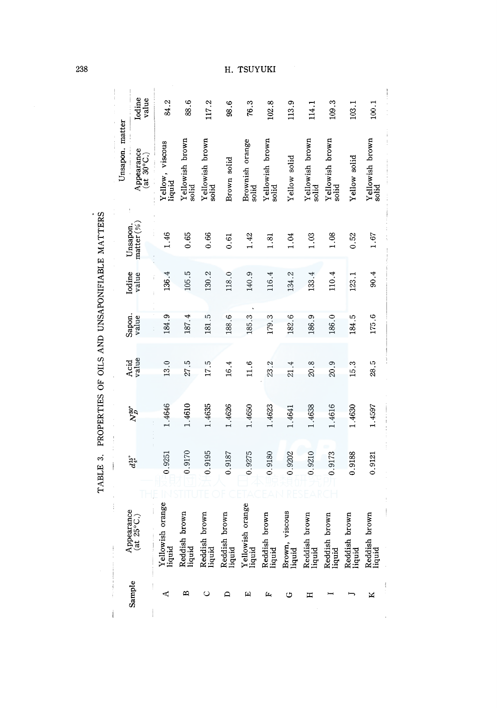|                                               |                 |                                                     |                                 |                          |                          | Η.                      | TSUYUKI                    |                          |                          |                          |                          |                         |                          |
|-----------------------------------------------|-----------------|-----------------------------------------------------|---------------------------------|--------------------------|--------------------------|-------------------------|----------------------------|--------------------------|--------------------------|--------------------------|--------------------------|-------------------------|--------------------------|
|                                               |                 | Iodine<br>value                                     | 84.2                            | 88.6                     | 117.2                    | 98.6                    | 76.3                       | 102.8                    | 113.9                    | 114.1                    | 109.3                    | 103.1                   | 100.1                    |
|                                               | Unsapon. matter | Appearance<br>$(\overline{at} 30^{\circ}C_{\cdot})$ | Yellow, viscous<br>liquid       | Yellowish brown<br>solid | Yellowish brown<br>solid | Brown solid             | Brownish orange<br>solid   | Yellowish brown<br>solid | Yellow solid             | Yellowish brown<br>solid | Yellowish brown<br>solid | Yellow solid            | Yellowish brown<br>solid |
|                                               | Unsapon.        | matter (%                                           | 1.46                            | 0.65                     | 0.66                     | 0.61                    | 1.42                       | 1.81                     | 1.04                     | 1.03                     | 1.08                     | 0.52                    | 1.67                     |
|                                               | Iodine          | value                                               | 136.4<br>Ť                      | 105.5                    | 130.2                    | 118.0                   | 140.9                      | 116.4                    | 134.2                    | 133.4                    | 110.4                    | 123.1                   | 90.4                     |
| PROPERTIES OF OILS AND UNSAPONIFIABLE MATTERS |                 | Sapon.<br>value                                     | 184.9                           | 187.4                    | 181.5                    | 188.6                   | 185.3                      | 179.3                    | 182.6                    | 186.9                    | 186.0                    | 184.5                   | 175.6                    |
|                                               | Acid            | value                                               | 13.0                            | 27.5                     | 17.5                     | 16.4                    | 11.6                       | 23.2                     | 21.4                     | 20.8                     | 20.9                     | 15.3                    | 28.5                     |
|                                               |                 | $N_D^{30^\circ}$                                    | 1.4646                          | 1.4610                   | 1.4635                   | 1.4626                  | 1.4650                     | 1.4623                   | 1.4641                   | 1.4638                   | 1.4616                   | 1.4630                  | 1.4597                   |
| TABLE 3.                                      |                 | $d_{\frac{4}{3}}^{15^{\circ}}$                      | 0.9251                          | 0.9170                   | 0.9195                   | 0.9187                  | 0.9275                     | 0.9180                   | 0.9202                   | 0.9210                   | 0.9173                   | 0.9188                  | 0.9121                   |
|                                               | İ               | Appearance<br>(at 25°C.)                            | Yellowish orange<br>Ì<br>liquid | Reddish brown<br>liquid  | Reddish brown<br>liquid  | Reddish brown<br>liquid | Yellowish orange<br>liquid | Reddish brown<br>liquid  | Brown, viscous<br>liquid | Reddish brown<br>liquid  | Reddish brown<br>liquid  | Reddish brown<br>liquid | Reddish brown<br>liquid  |
|                                               |                 | Sample                                              | ⊄                               | ∞                        | ပ                        | ≏                       | 囜                          | Щ                        | ಅ                        | ᇁ                        |                          |                         | ×                        |

238

### $\texttt{rsuv}$

 $\frac{1}{3}$ 

 $\frac{1}{2}$  $\begin{array}{c} \begin{array}{c} 1 \\ 1 \end{array} \end{array}$ 

 $\mathbf{I}$ 

J.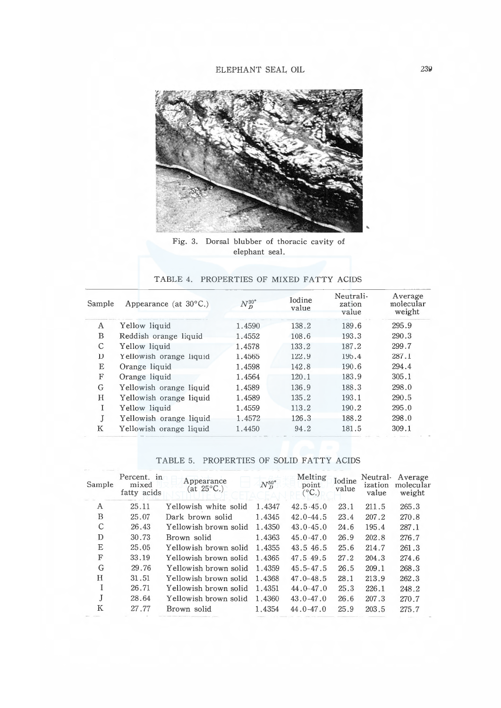

Fig. 3. Dorsal blubber of thoracic cavity of elephant seal.

#### TABLE 4. PROPERTIES OF MIXED FATTY ACIDS

| Sample | Appearance (at $30^{\circ}$ C.) | $N_D^{30^{\circ}}$ | <b>I</b> odine<br>value | Neutrali-<br>zation<br>value | Average<br>molecular<br>weight |
|--------|---------------------------------|--------------------|-------------------------|------------------------------|--------------------------------|
| А      | Yellow liquid                   | 1.4590             | 138.2                   | 189.6                        | 295.9                          |
| B      | Reddish orange liquid           | 1.4552             | 108.6                   | 193.3                        | 290.3                          |
| C      | Yellow liquid                   | 1.4578             | 133.2                   | 187.2                        | 299.7                          |
| D      | Yellowish orange liquid         | 1.4565             | 122.9                   | 195.4                        | 287.1                          |
| E      | Orange liquid                   | 1.4598             | 142.8                   | 190.6                        | 294.4                          |
| F      | Orange liquid                   | 1.4564             | 120.1                   | 183.9                        | 305.1                          |
| G      | Yellowish orange liquid         | 1.4589             | 136.9                   | 188.3                        | 298.0                          |
| H      | Yellowish orange liquid         | 1.4589             | 135.2                   | 193.1                        | 290.5                          |
| T      | Yellow liquid                   | 1.4559             | 113.2                   | 190.2                        | 295.0                          |
|        | Yellowish orange liquid         | 1.4572             | 126.3                   | 188.2                        | 298.0                          |
| K      | Yellowish orange liquid         | 1.4450             | 94.2                    | 181.5                        | 309.1                          |

#### TABLE 5. PROPERTIES OF SOLID FATTY ACIDS

| Sample | Percent. in<br>mixed<br>fatty acids | Appearance<br>(at 25°C.) | $N_D^{50^o}$ | Melting<br>point<br>$(^{\circ}C_{\cdot})$ | Iodine<br>value | Neutral-<br>ization<br>value | Average<br>molecular<br>weight |
|--------|-------------------------------------|--------------------------|--------------|-------------------------------------------|-----------------|------------------------------|--------------------------------|
| A      | 25.11                               | Yellowish white solid    | 1.4347       | $42.5 - 45.0$                             | 23.1            | 211.5                        | 265.3                          |
| B      | 25.07                               | Dark brown solid         | 1.4345       | $42.0 - 44.5$                             | 23.4            | 207.2                        | 270.8                          |
| C      | 26.43                               | Yellowish brown solid    | 1.4350       | $43.0 - 45.0$                             | 24.6            | 195.4                        | 287.1                          |
| D      | 30.73                               | Brown solid              | 1.4363       | $45.0 - 47.0$                             | 26.9            | 202.8                        | 276.7                          |
| E      | 25.05                               | Yellowish brown solid    | 1.4355       | 43.5 46.5                                 | 25.6            | 214.7                        | 261.3                          |
| F      | 33.19                               | Yellowish brown solid    | 1.4365       | 47.5.49.5                                 | 27.2            | 204.3                        | 274.6                          |
| G      | 29.76                               | Yellowish brown solid    | 1.4359       | $45.5 - 47.5$                             | 26.5            | 209.1                        | 268.3                          |
| Н      | 31.51                               | Yellowish brown solid    | 1.4368       | $47.0 - 48.5$                             | 28.1            | 213.9                        | 262.3                          |
|        | 26.71                               | Yellowish brown solid    | 1.4351       | $44.0 - 47.0$                             | 25.3            | 226.1                        | 248.2                          |
|        | 28.64                               | Yellowish brown solid    | 1.4360       | $43.0 - 47.0$                             | 26.6            | 207.3                        | 270.7                          |
| Κ      | 27.77                               | Brown solid              | 1.4354       | $44.0 - 47.0$                             | 25.9            | 203.5                        | 275.7                          |